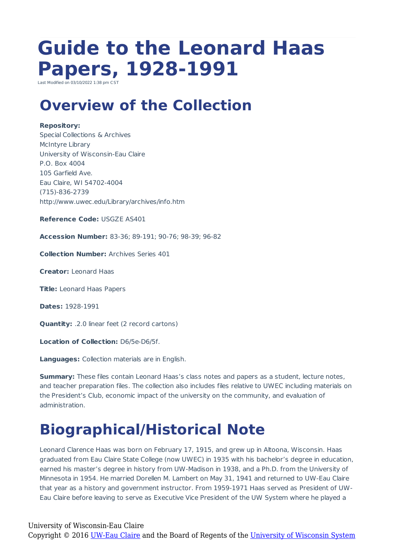# **Guide to the Leonard Haas Papers, 1928-1991**

Last Modified on 03/10/2022 1:38 pm  $C_1$ 

### **Overview of the Collection**

#### **Repository:**

Special Collections & Archives McIntyre Library University of Wisconsin-Eau Claire P.O. Box 4004 105 Garfield Ave. Eau Claire, WI 54702-4004 (715)-836-2739 http://www.uwec.edu/Library/archives/info.htm

**Reference Code:** USGZE AS401

**Accession Number:** 83-36; 89-191; 90-76; 98-39; 96-82

**Collection Number:** Archives Series 401

**Creator:** Leonard Haas

**Title:** Leonard Haas Papers

**Dates:** 1928-1991

**Quantity:** .2.0 linear feet (2 record cartons)

**Location of Collection:** D6/5e-D6/5f.

**Languages:** Collection materials are in English.

**Summary:** These files contain Leonard Haas's class notes and papers as a student, lecture notes, and teacher preparation files. The collection also includes files relative to UWEC including materials on the President's Club, economic impact of the university on the community, and evaluation of administration.

# **Biographical/Historical Note**

Leonard Clarence Haas was born on February 17, 1915, and grew up in Altoona, Wisconsin. Haas graduated from Eau Claire State College (now UWEC) in 1935 with his bachelor's degree in education, earned his master's degree in history from UW-Madison in 1938, and a Ph.D. from the University of Minnesota in 1954. He married Dorellen M. Lambert on May 31, 1941 and returned to UW-Eau Claire that year as a history and government instructor. From 1959-1971 Haas served as President of UW-Eau Claire before leaving to serve as Executive Vice President of the UW System where he played a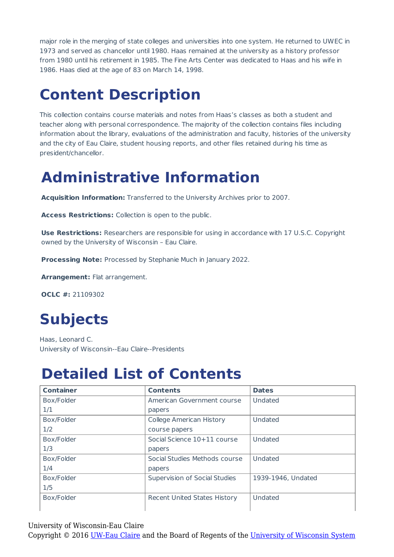major role in the merging of state colleges and universities into one system. He returned to UWEC in 1973 and served as chancellor until 1980. Haas remained at the university as a history professor from 1980 until his retirement in 1985. The Fine Arts Center was dedicated to Haas and his wife in 1986. Haas died at the age of 83 on March 14, 1998.

# **Content Description**

This collection contains course materials and notes from Haas's classes as both a student and teacher along with personal correspondence. The majority of the collection contains files including information about the library, evaluations of the administration and faculty, histories of the university and the city of Eau Claire, student housing reports, and other files retained during his time as president/chancellor.

### **Administrative Information**

**Acquisition Information:** Transferred to the University Archives prior to 2007.

**Access Restrictions:** Collection is open to the public.

**Use Restrictions:** Researchers are responsible for using in accordance with 17 U.S.C. Copyright owned by the University of Wisconsin – Eau Claire.

**Processing Note:** Processed by Stephanie Much in January 2022.

**Arrangement:** Flat arrangement.

**OCLC #:** 21109302

# **Subjects**

Haas, Leonard C. University of Wisconsin--Eau Claire--Presidents

#### **Detailed List of Contents**

| <b>Container</b> | <b>Contents</b>                     | <b>Dates</b>       |
|------------------|-------------------------------------|--------------------|
| Box/Folder       | American Government course          | Undated            |
| 1/1              | papers                              |                    |
| Box/Folder       | College American History            | Undated            |
| 1/2              | course papers                       |                    |
| Box/Folder       | Social Science 10+11 course         | Undated            |
| 1/3              | papers                              |                    |
| Box/Folder       | Social Studies Methods course       | Undated            |
| 1/4              | papers                              |                    |
| Box/Folder       | Supervision of Social Studies       | 1939-1946, Undated |
| 1/5              |                                     |                    |
| Box/Folder       | <b>Recent United States History</b> | Undated            |
|                  |                                     |                    |

University of Wisconsin-Eau Claire

Copyright © 2016 [UW-Eau Claire](http://www.uwec.edu) and the Board of Regents of the [University of Wisconsin System](http://www.uwsa.edu/)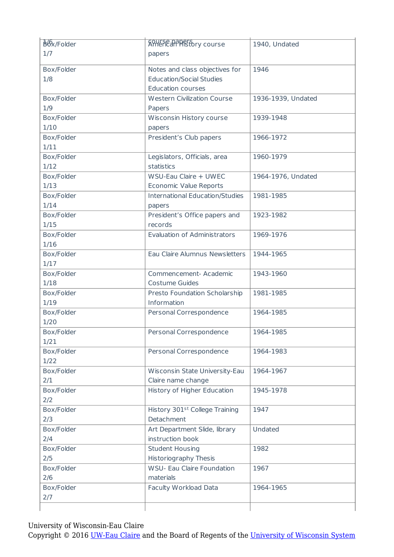| B <sub>6x</sub> /Folder | <b>ANNETE PAPE TO TY COUTSE</b>                   | 1940, Undated      |
|-------------------------|---------------------------------------------------|--------------------|
| 1/7                     | papers                                            |                    |
| Box/Folder              | Notes and class objectives for                    | 1946               |
| 1/8                     | <b>Education/Social Studies</b>                   |                    |
|                         | <b>Education courses</b>                          |                    |
| Box/Folder              | <b>Western Civilization Course</b>                | 1936-1939, Undated |
| 1/9                     | Papers                                            |                    |
| Box/Folder              | Wisconsin History course                          | 1939-1948          |
| 1/10                    | papers                                            |                    |
| Box/Folder              | President's Club papers                           | 1966-1972          |
| 1/11                    |                                                   |                    |
| Box/Folder              | Legislators, Officials, area                      | 1960-1979          |
| 1/12                    | statistics                                        |                    |
| Box/Folder              | WSU-Eau Claire + UWEC                             | 1964-1976, Undated |
| 1/13                    | <b>Economic Value Reports</b>                     |                    |
| Box/Folder              | International Education/Studies                   | 1981-1985          |
| 1/14                    | papers                                            |                    |
| Box/Folder              | President's Office papers and                     | 1923-1982          |
| 1/15                    | records                                           |                    |
| Box/Folder              | <b>Evaluation of Administrators</b>               | 1969-1976          |
| 1/16                    |                                                   |                    |
| Box/Folder              | Eau Claire Alumnus Newsletters                    | 1944-1965          |
| 1/17                    |                                                   |                    |
| Box/Folder              | Commencement- Academic                            | 1943-1960          |
| 1/18                    | <b>Costume Guides</b>                             |                    |
| Box/Folder              | Presto Foundation Scholarship                     | 1981-1985          |
| 1/19                    | Information                                       |                    |
| Box/Folder              | Personal Correspondence                           | 1964-1985          |
| 1/20                    |                                                   |                    |
| Box/Folder              | Personal Correspondence                           | 1964-1985          |
| 1/21                    |                                                   |                    |
| Box/Folder              | Personal Correspondence                           | 1964-1983          |
| 1/22                    |                                                   |                    |
| Box/Folder              | Wisconsin State University-Eau                    | 1964-1967          |
| 2/1                     | Claire name change                                |                    |
| Box/Folder              | History of Higher Education                       | 1945-1978          |
| 2/2                     |                                                   |                    |
| Box/Folder              | History 301st College Training<br>Detachment      | 1947               |
| 2/3<br>Box/Folder       |                                                   |                    |
|                         | Art Department Slide, library<br>instruction book | Undated            |
| 2/4<br>Box/Folder       | <b>Student Housing</b>                            | 1982               |
| 2/5                     | Historiography Thesis                             |                    |
| Box/Folder              | <b>WSU- Eau Claire Foundation</b>                 | 1967               |
| 2/6                     | materials                                         |                    |
| Box/Folder              | Faculty Workload Data                             | 1964-1965          |
| 2/7                     |                                                   |                    |
|                         |                                                   |                    |
|                         |                                                   |                    |

University of Wisconsin-Eau Claire

Copyright © 2016 [UW-Eau Claire](http://www.uwec.edu) and the Board of Regents of the [University of Wisconsin System](http://www.uwsa.edu/)